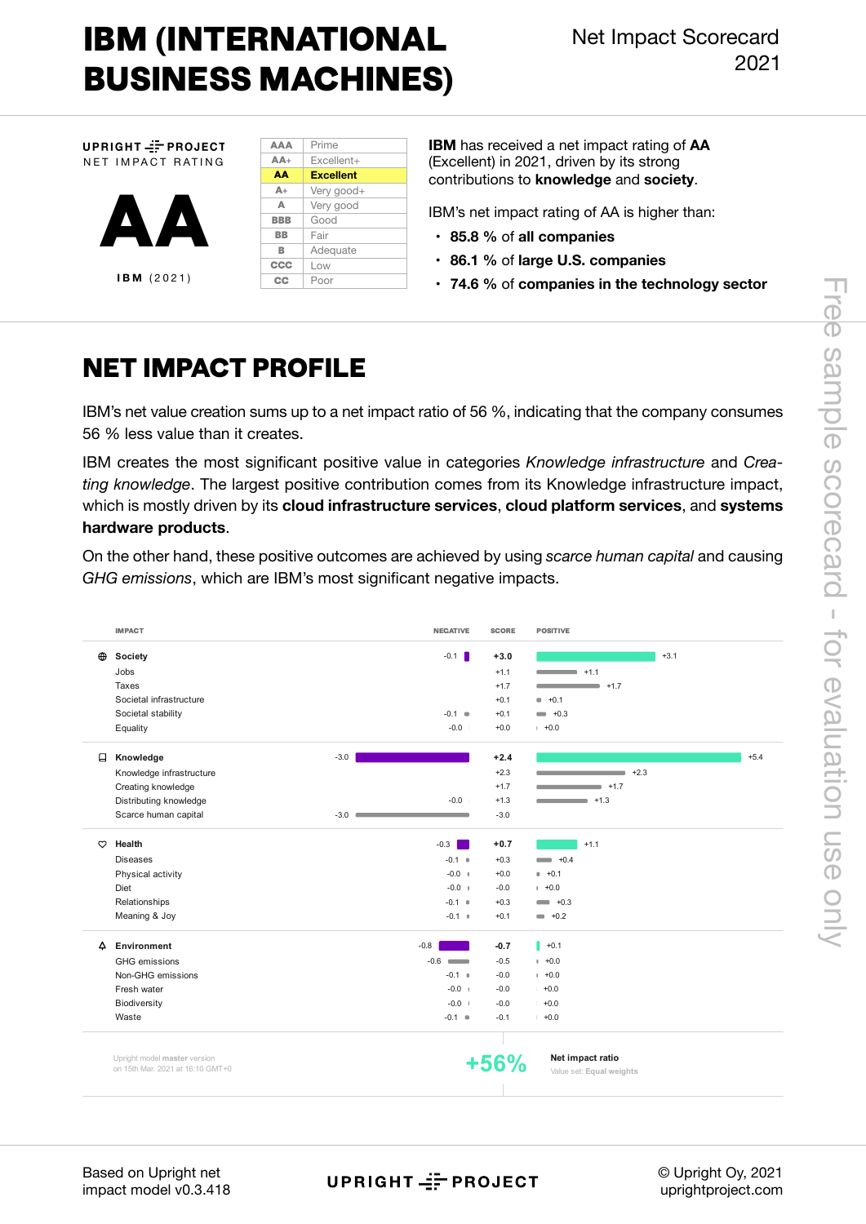# **IBM (INTERNATIONAL BUSINESS MACHINES)**

**AAA**

UPRIGHT-FPROJECT NET IMPACT RATING



| $AA +$         | $Fxcellent+$     |
|----------------|------------------|
| AΔ             | <b>Excellent</b> |
| $\mathbb{A} +$ | Very good+       |
| Δ              | Very good        |
| <b>BBB</b>     | Good             |
| <b>BB</b>      | Fair             |
| в              | Adequate         |
| CCC            | Low              |
| СC             | Poor             |
|                |                  |

Prime

**IBM** has received a net impact rating of **AA**  (Excellent) in 2021, driven by its strong contributions to **knowledge** and **society**.

IBM's net impact rating of AA is higher than:

- **85.8 %** of **all companies**
- **• 86.1 %** of **large U.S. companies**
- **74.6 %** of **companies in the technology sector**

### **NET IMPACT PROFILE**

IBM's net value creation sums up to a net impact ratio of 56 %, indicating that the company consumes 56 % less value than it creates.

IBM creates the most significant positive value in categories *Knowledge infrastructure* and *Creating knowledge*. The largest positive contribution comes from its Knowledge infrastructure impact, which is mostly driven by its **cloud infrastructure services**, **cloud platform services**, and **systems hardware products**.

On the other hand, these positive outcomes are achieved by using *scarce human capital* and causing *GHG emissions*, which are IBM's most significant negative impacts.

|          | <b>IMPACT</b>                                                    | <b>NEGATIVE</b>                                                                                                          | <b>SCORE</b> | <b>POSITIVE</b>                              |
|----------|------------------------------------------------------------------|--------------------------------------------------------------------------------------------------------------------------|--------------|----------------------------------------------|
| $\oplus$ | Society                                                          | $-0.1$                                                                                                                   | $+3.0$       | $+3.1$                                       |
|          | Jobs                                                             |                                                                                                                          | $+1.1$       | $ +1.1$                                      |
|          | Taxes                                                            |                                                                                                                          | $+1.7$       | $+1.7$                                       |
|          | Societal infrastructure                                          |                                                                                                                          | $+0.1$       | $+0.1$                                       |
|          | Societal stability                                               | $-0.1 =$                                                                                                                 | $+0.1$       | $- +0.3$                                     |
|          | Equality                                                         | $-0.0$                                                                                                                   | $+0.0$       | $+0.0$                                       |
| 日        | Knowledge                                                        | $-3.0$                                                                                                                   | $+2.4$       | $+5.4$                                       |
|          | Knowledge infrastructure                                         |                                                                                                                          | $+2.3$       | $+2.3$                                       |
|          | Creating knowledge                                               |                                                                                                                          | $+1.7$       | $+1.7$                                       |
|          | Distributing knowledge                                           | $-0.0$                                                                                                                   | $+1.3$       | $\blacksquare$ +1.3                          |
|          | Scarce human capital                                             | $-3.0$ $\blacksquare$                                                                                                    | $-3.0$       |                                              |
| $\circ$  | Health                                                           | $-0.3$<br>and the state of the state of the state of the state of the state of the state of the state of the state of th | $+0.7$       | $+1.1$                                       |
|          | <b>Diseases</b>                                                  | $-0.1$ $\cdot$                                                                                                           | $+0.3$       | $+0.4$                                       |
|          | Physical activity                                                | $-0.0$ $+$                                                                                                               | $+0.0$       | $+0.1$                                       |
|          | Diet                                                             | $-0.0$ $+$                                                                                                               | $-0.0$       | $+0.0$                                       |
|          | Relationships                                                    | $-0.1$ $\cdot$                                                                                                           | $+0.3$       | $\longrightarrow$ +0.3                       |
|          | Meaning & Joy                                                    | $-0.1 - 0$                                                                                                               | $+0.1$       | $- +0.2$                                     |
| △        | Environment                                                      | $-0.8$                                                                                                                   | $-0.7$       | $  +0.1$                                     |
|          | GHG emissions                                                    | $-0.6$                                                                                                                   | $-0.5$       | $+0.0$                                       |
|          | Non-GHG emissions                                                | $-0.1 - 0$                                                                                                               | $-0.0$       | $+0.0$                                       |
|          | Fresh water                                                      | $-0.0$ +                                                                                                                 | $-0.0$       | $+0.0$                                       |
|          | Biodiversity                                                     | $-0.0 +$                                                                                                                 | $-0.0$       | $+0.0$                                       |
|          | Waste                                                            | $-0.1$ $\blacksquare$                                                                                                    | $-0.1$       | $+0.0$                                       |
|          |                                                                  |                                                                                                                          |              |                                              |
|          | Upright model master version<br>on 15th Mar. 2021 at 16:10 GMT+0 |                                                                                                                          |              | Net impact ratio<br>Value set: Equal weights |

Based on Upright net impact model v0.3.418

UPRIGHT == PROJECT

© Upright Oy, 2021 uprightproject.com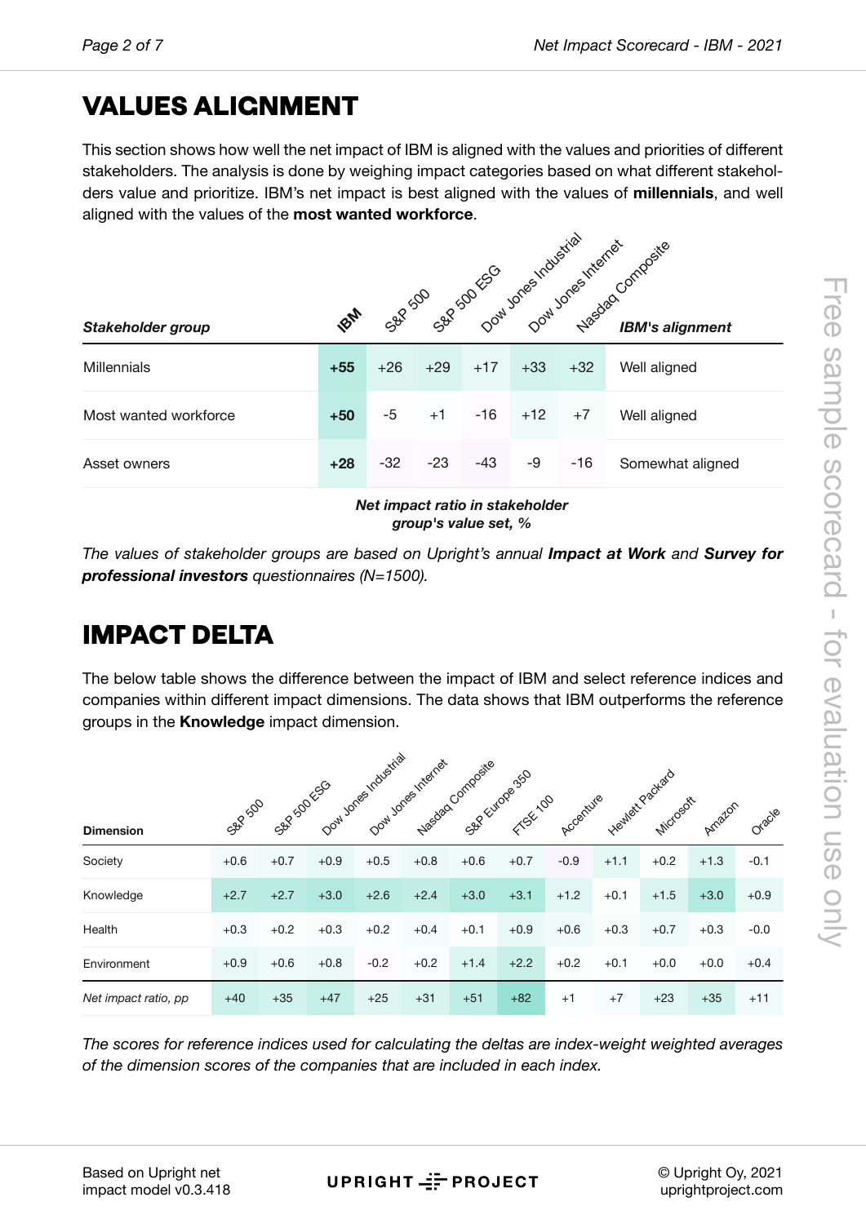## **VALU[E](#page-6-0)S ALIGNMENT**

This section shows how well the net impact of IBM is aligned with the values and priorities of different stakeholders. The analysis is done by weighing impact categories based on what different stakeholders value and prioritize. IBM's net impact is best aligned with the values of **millennials**, and well aligned with the values of the **most wanted workforce**.

|                                 | 58-500 Sex 20 ESC Download Margins Marcocomposity |       |       |       |       |       |                  |
|---------------------------------|---------------------------------------------------|-------|-------|-------|-------|-------|------------------|
| Stakeholder group               | <b>SON</b>                                        |       |       |       |       |       |                  |
| <b>Millennials</b>              | $+55$                                             | $+26$ | $+29$ | $+17$ | $+33$ | $+32$ | Well aligned     |
| Most wanted workforce           | $+50$                                             | $-5$  | $+1$  | $-16$ | $+12$ | $+7$  | Well aligned     |
| Asset owners                    | $+28$                                             | $-32$ | $-23$ | $-43$ | -9    | $-16$ | Somewhat aligned |
| Net impact ratio in stakeholder |                                                   |       |       |       |       |       |                  |

*group's value set, %*

*The values of stakeholder groups are based on Upright's annual <i>Impact at Work and Survey for professional investors questionnaires (N=1500).*

## **IMPACT DELTA**

The below table shows the difference between the impact of IBM and select reference indices and companies within different impact dimensions. The data shows that IBM outperforms the reference groups in the **Knowledge** impact dimension.

|                      |         |            |        | Dowl Jones Industrial | Down Jones Internet | Nasdaq Composite |          |           |        |                               |        |        |
|----------------------|---------|------------|--------|-----------------------|---------------------|------------------|----------|-----------|--------|-------------------------------|--------|--------|
| <b>Dimension</b>     | SBP 500 | SAP SOLESO |        |                       |                     | SBE Furgoes 350  | FTSE-100 | Accenture |        | Heatlett Packard<br>Microsoft | Amazon | Oracle |
| Society              | $+0.6$  | $+0.7$     | $+0.9$ | $+0.5$                | $+0.8$              | $+0.6$           | $+0.7$   | $-0.9$    | $+1.1$ | $+0.2$                        | $+1.3$ | $-0.1$ |
| Knowledge            | $+2.7$  | $+2.7$     | $+3.0$ | $+2.6$                | $+2.4$              | $+3.0$           | $+3.1$   | $+1.2$    | $+0.1$ | $+1.5$                        | $+3.0$ | $+0.9$ |
| Health               | $+0.3$  | $+0.2$     | $+0.3$ | $+0.2$                | $+0.4$              | $+0.1$           | $+0.9$   | $+0.6$    | $+0.3$ | $+0.7$                        | $+0.3$ | $-0.0$ |
| Environment          | $+0.9$  | $+0.6$     | $+0.8$ | $-0.2$                | $+0.2$              | $+1.4$           | $+2.2$   | $+0.2$    | $+0.1$ | $+0.0$                        | $+0.0$ | $+0.4$ |
| Net impact ratio, pp | $+40$   | $+35$      | $+47$  | $+25$                 | $+31$               | $+51$            | $+82$    | $+1$      | $+7$   | $+23$                         | $+35$  | $+11$  |

*The scores for reference indices used for calculating the deltas are index-weight weighted averages of the dimension scores of the companies that are included in each index.*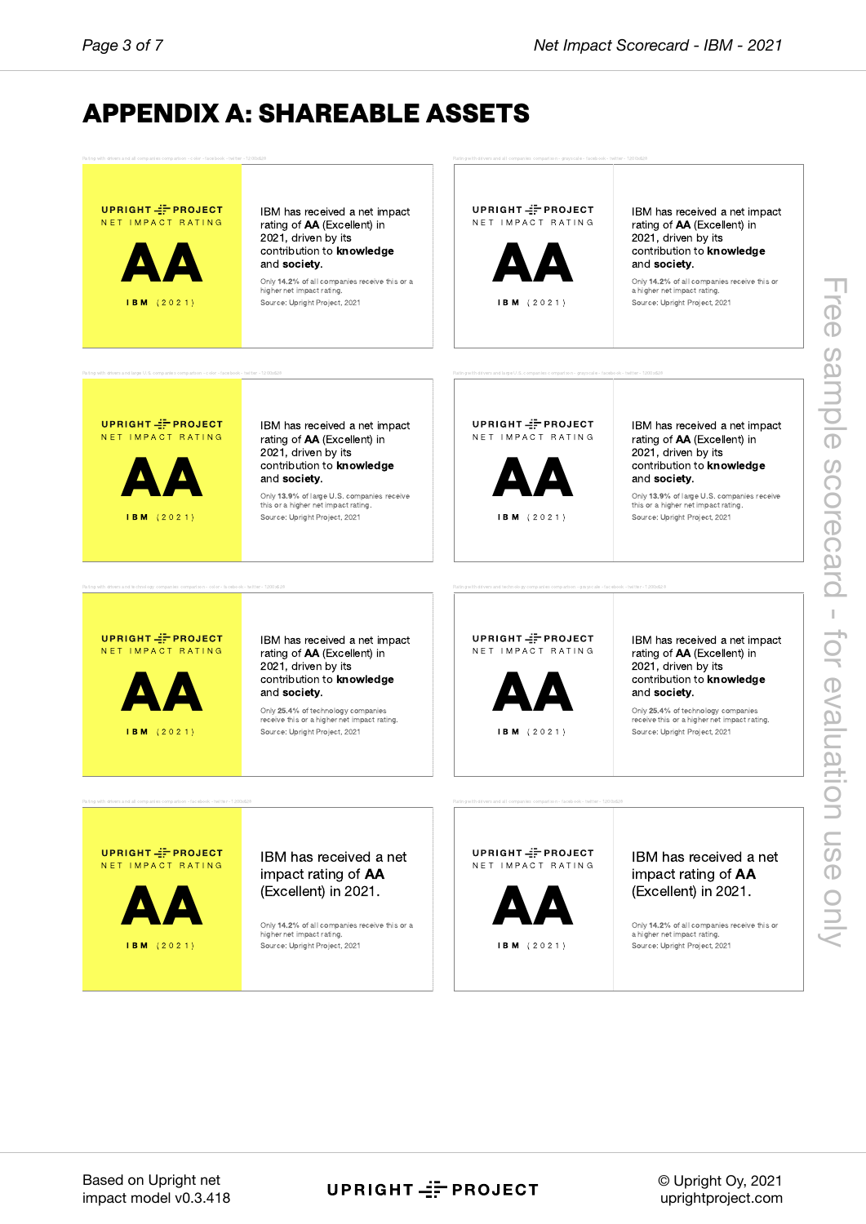## **APPE[N](#page-6-0)DIX A: SHAREABLE ASSETS**



Source: Upright Project, 2021

**UPRIGHT-F-PROJECT** NET IMPACT RATING

I B M ( 2 0 2 1 )



IBM has received a net impact rating of AA (Excellent) in 2021, driven by its contribution to knowledge and society.

this or a higher net impact rating. Source: Upright Project, 2021

receive this or a higher net impact rating. Source: Upright Project, 2021

UPRIGHT = PROJECT N E T IM PACT RATING

I B M ( 2 0 2 1 )



**A**<br>contribution to knowledge<br>and society.<br> $\frac{Ony 25.4% of technology companies  
recoive this or echberg re time of right$ IBM has received a net impact rating of AA (Excellent) in 2021, driven by its and society. Only 25.4% of technology companies

receive this or a higher net impact rating. Source: Upright Project, 2021

UPRIGHT = PROJECT NET IMPACT RATING



### IBM has received a net impact rating of AA

Only 14.2% of all companies receive this or a higher net impact rating. Source: Upright Project, 2021

UPRIGHT - PROJECT N E T IM PACT RATING



I B M ( 2 0 2 1 )

IBM has received a net impact rating of  $AA$ 

Only 14.2% of all companies receive this or a higher net impact rating. Source: Upright Project, 2021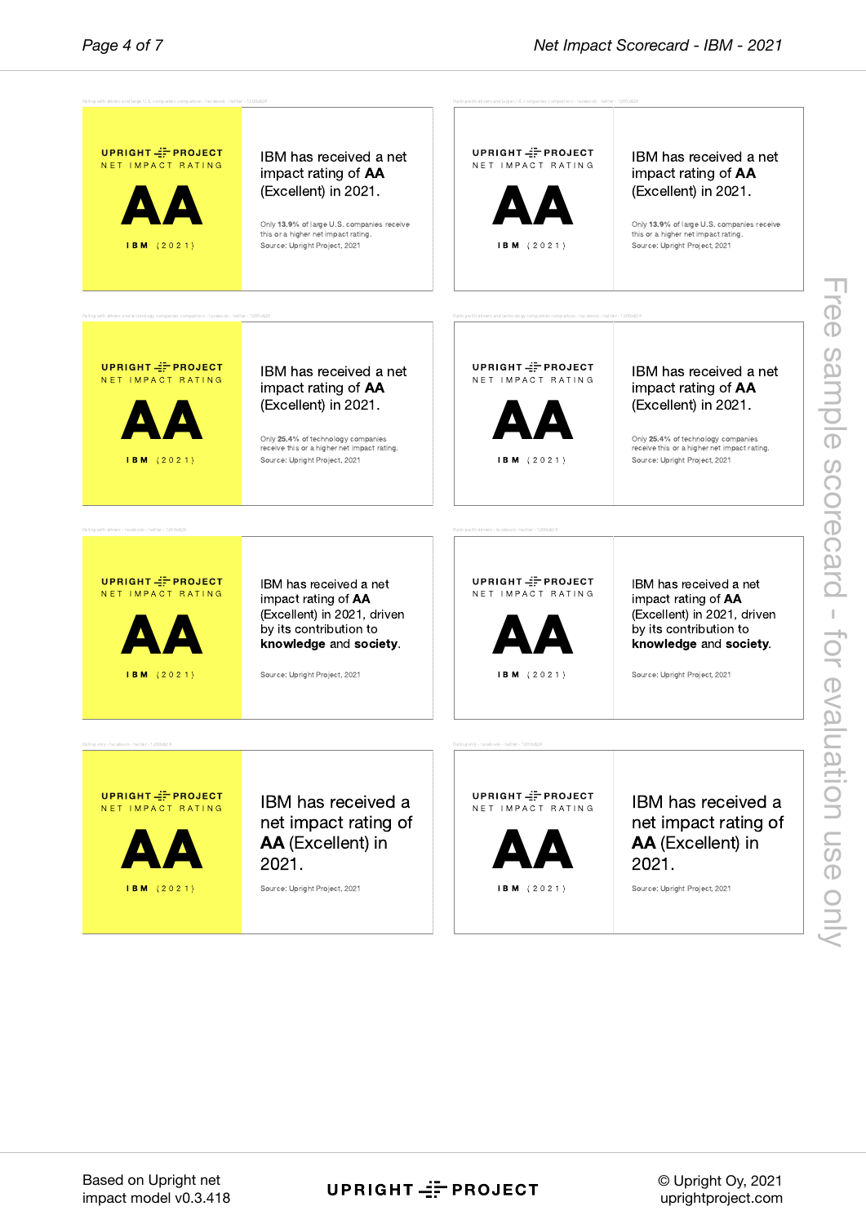

UPRIGHT == PROJECT

© Upright Oy, 2021 uprightproject.com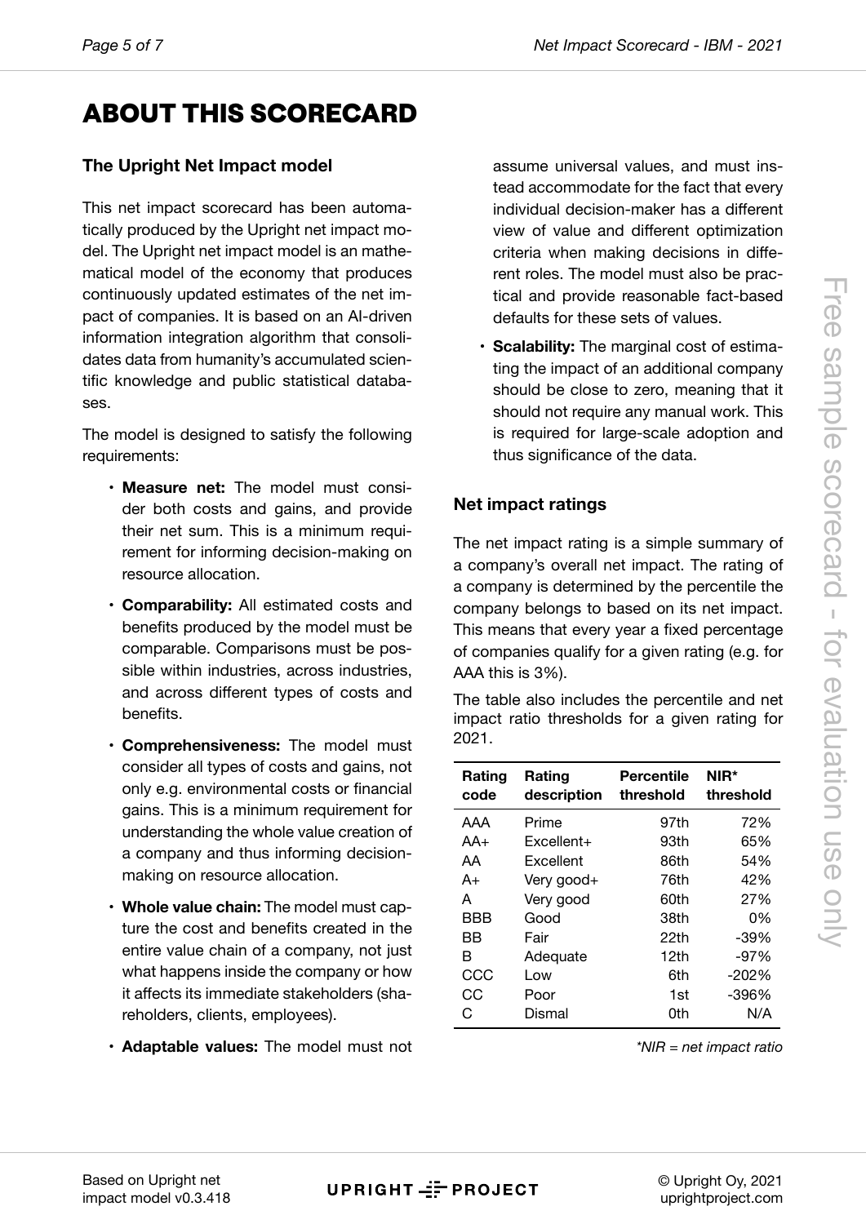## **ABO[UT](#page-6-0) THIS SCORECARD**

### **The Upright Net Impact model**

This net impact scorecard has been automatically produced by the Upright net impact model. The Upright net impact model is an mathematical model of the economy that produces continuously updated estimates of the net impact of companies. It is based on an AI-driven information integration algorithm that consolidates data from humanity's accumulated scientific knowledge and public statistical databases.

The model is designed to satisfy the following requirements:

- **Measure net:** The model must consider both costs and gains, and provide their net sum. This is a minimum requirement for informing decision-making on resource allocation.
- **Comparability:** All estimated costs and benefits produced by the model must be comparable. Comparisons must be possible within industries, across industries, and across different types of costs and benefits.
- **Comprehensiveness:** The model must consider all types of costs and gains, not only e.g. environmental costs or financial gains. This is a minimum requirement for understanding the whole value creation of a company and thus informing decisionmaking on resource allocation.
- **Whole value chain:** The model must capture the cost and benefits created in the entire value chain of a company, not just what happens inside the company or how it affects its immediate stakeholders (shareholders, clients, employees).
- **Adaptable values:** The model must not

assume universal values, and must instead accommodate for the fact that every individual decision-maker has a different view of value and different optimization criteria when making decisions in different roles. The model must also be practical and provide reasonable fact-based defaults for these sets of values.

• **Scalability:** The marginal cost of estimating the impact of an additional company should be close to zero, meaning that it should not require any manual work. This is required for large-scale adoption and thus significance of the data.

### **Net impact ratings**

The net impact rating is a simple summary of a company's overall net impact. The rating of a company is determined by the percentile the company belongs to based on its net impact. This means that every year a fixed percentage of companies qualify for a given rating (e.g. for AAA this is 3%).

The table also includes the percentile and net impact ratio thresholds for a given rating for 2021.

| Rating<br>code | Rating<br>description | Percentile<br>threshold | NIR*<br>threshold |
|----------------|-----------------------|-------------------------|-------------------|
| AAA            | Prime                 | 97th                    | 72%               |
| AA+            | $Excellent+$          | 93th                    | 65%               |
| AA             | Excellent             | 86th                    | 54%               |
| A+             | Very good+            | 76th                    | 42%               |
| А              | Very good             | 60th                    | 27%               |
| BBB            | Good                  | 38th                    | 0%                |
| ВB             | Fair                  | 22th                    | $-39%$            |
| R              | Adequate              | 12th                    | $-97%$            |
| CCC            | Low                   | 6th                     | $-202%$           |
| CС             | Poor                  | 1st                     | -396%             |
| C,             | Dismal                | 0th                     | N/A               |

*\*NIR = net impact ratio*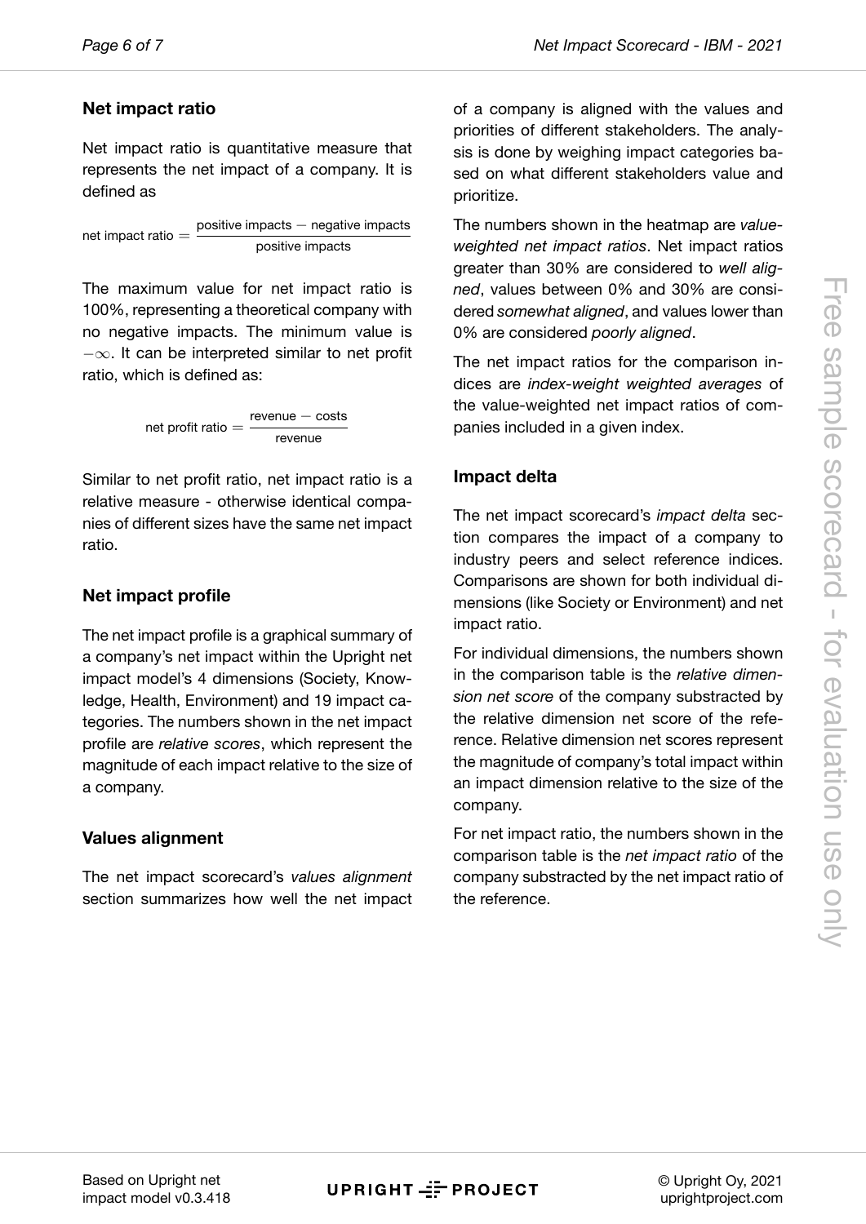#### **Net imp[ac](#page-6-0)t ratio**

Net impact ratio is quantitative measure that represents the net impact of a company. It is defined as

net impact ratio  $=$ positive impacts *−* negative impacts positive impacts

The maximum value for net impact ratio is 100%, representing a theoretical company with no negative impacts. The minimum value is *−∞*. It can be interpreted similar to net profit ratio, which is defined as:

$$
net profit ratio = \frac{revenue - costs}{revenue}
$$

Similar to net profit ratio, net impact ratio is a relative measure - otherwise identical companies of different sizes have the same net impact ratio.

### **Net impact profile**

The net impact profile is a graphical summary of a company's net impact within the Upright net impact model's 4 dimensions (Society, Knowledge, Health, Environment) and 19 impact categories. The numbers shown in the net impact profile are *relative scores*, which represent the magnitude of each impact relative to the size of a company.

#### **Values alignment**

The net impact scorecard's *values alignment* section summarizes how well the net impact of a company is aligned with the values and priorities of different stakeholders. The analysis is done by weighing impact categories based on what different stakeholders value and prioritize.

The numbers shown in the heatmap are *valueweighted net impact ratios*. Net impact ratios greater than 30% are considered to *well aligned*, values between 0% and 30% are considered *somewhat aligned*, and values lower than 0% are considered *poorly aligned*.

The net impact ratios for the comparison indices are *index-weight weighted averages* of the value-weighted net impact ratios of companies included in a given index.

### **Impact delta**

The net impact scorecard's *impact delta* section compares the impact of a company to industry peers and select reference indices. Comparisons are shown for both individual dimensions (like Society or Environment) and net impact ratio.

For individual dimensions, the numbers shown in the comparison table is the *relative dimension net score* of the company substracted by the relative dimension net score of the reference. Relative dimension net scores represent the magnitude of company's total impact within an impact dimension relative to the size of the company.

For net impact ratio, the numbers shown in the comparison table is the *net impact ratio* of the company substracted by the net impact ratio of the reference.

**UPRIGHT - PROJECT** 

© Upright Oy, 2021 uprightproject.com